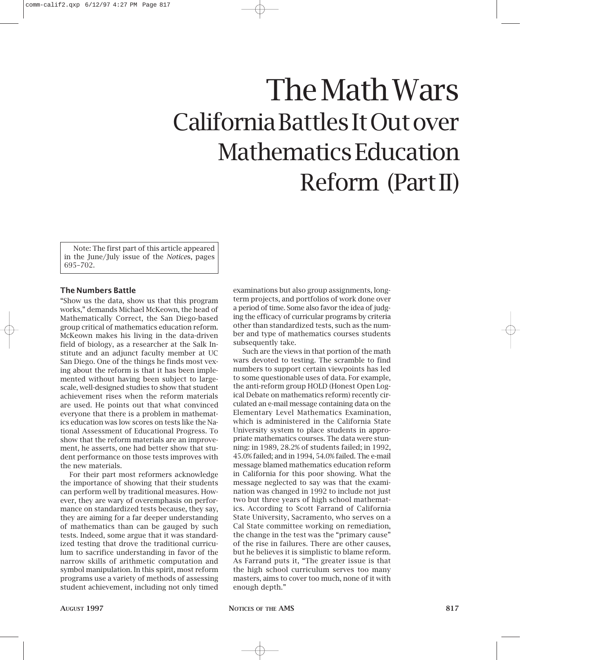# The Math Wars California Battles It Out over Mathematics Education Reform (Part II)

Note: The first part of this article appeared in the June/July issue of the *Notice*s, pages 695–702.

## **The Numbers Battle**

"Show us the data, show us that this program works," demands Michael McKeown, the head of Mathematically Correct, the San Diego-based group critical of mathematics education reform. McKeown makes his living in the data-driven field of biology, as a researcher at the Salk Institute and an adjunct faculty member at UC San Diego. One of the things he finds most vexing about the reform is that it has been implemented without having been subject to largescale, well-designed studies to show that student achievement rises when the reform materials are used. He points out that what convinced everyone that there is a problem in mathematics education was low scores on tests like the National Assessment of Educational Progress. To show that the reform materials are an improvement, he asserts, one had better show that student performance on those tests improves with the new materials.

For their part most reformers acknowledge the importance of showing that their students can perform well by traditional measures. However, they are wary of overemphasis on performance on standardized tests because, they say, they are aiming for a far deeper understanding of mathematics than can be gauged by such tests. Indeed, some argue that it was standardized testing that drove the traditional curriculum to sacrifice understanding in favor of the narrow skills of arithmetic computation and symbol manipulation. In this spirit, most reform programs use a variety of methods of assessing student achievement, including not only timed

examinations but also group assignments, longterm projects, and portfolios of work done over a period of time. Some also favor the idea of judging the efficacy of curricular programs by criteria other than standardized tests, such as the number and type of mathematics courses students subsequently take.

Such are the views in that portion of the math wars devoted to testing. The scramble to find numbers to support certain viewpoints has led to some questionable uses of data. For example, the anti-reform group HOLD (Honest Open Logical Debate on mathematics reform) recently circulated an e-mail message containing data on the Elementary Level Mathematics Examination, which is administered in the California State University system to place students in appropriate mathematics courses. The data were stunning: in 1989, 28.2% of students failed; in 1992, 45.0% failed; and in 1994, 54.0% failed. The e-mail message blamed mathematics education reform in California for this poor showing. What the message neglected to say was that the examination was changed in 1992 to include not just two but three years of high school mathematics. According to Scott Farrand of California State University, Sacramento, who serves on a Cal State committee working on remediation, the change in the test was the "primary cause" of the rise in failures. There are other causes, but he believes it is simplistic to blame reform. As Farrand puts it, "The greater issue is that the high school curriculum serves too many masters, aims to cover too much, none of it with enough depth."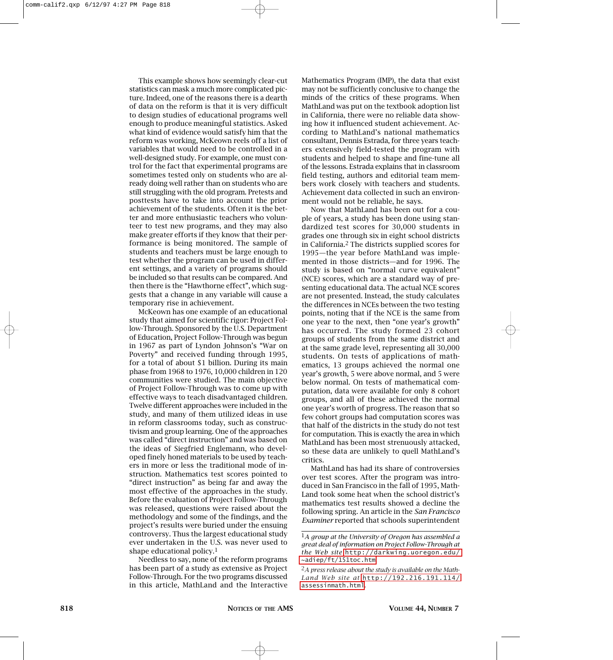This example shows how seemingly clear-cut statistics can mask a much more complicated picture. Indeed, one of the reasons there is a dearth of data on the reform is that it is very difficult to design studies of educational programs well enough to produce meaningful statistics. Asked what kind of evidence would satisfy him that the reform was working, McKeown reels off a list of variables that would need to be controlled in a well-designed study. For example, one must control for the fact that experimental programs are sometimes tested only on students who are already doing well rather than on students who are still struggling with the old program. Pretests and posttests have to take into account the prior achievement of the students. Often it is the better and more enthusiastic teachers who volunteer to test new programs, and they may also make greater efforts if they know that their performance is being monitored. The sample of students and teachers must be large enough to test whether the program can be used in different settings, and a variety of programs should be included so that results can be compared. And then there is the "Hawthorne effect", which suggests that a change in any variable will cause a temporary rise in achievement.

McKeown has one example of an educational study that aimed for scientific rigor: Project Follow-Through. Sponsored by the U.S. Department of Education, Project Follow-Through was begun in 1967 as part of Lyndon Johnson's "War on Poverty" and received funding through 1995, for a total of about \$1 billion. During its main phase from 1968 to 1976, 10,000 children in 120 communities were studied. The main objective of Project Follow-Through was to come up with effective ways to teach disadvantaged children. Twelve different approaches were included in the study, and many of them utilized ideas in use in reform classrooms today, such as constructivism and group learning. One of the approaches was called "direct instruction" and was based on the ideas of Siegfried Englemann, who developed finely honed materials to be used by teachers in more or less the traditional mode of instruction. Mathematics test scores pointed to "direct instruction" as being far and away the most effective of the approaches in the study. Before the evaluation of Project Follow-Through was released, questions were raised about the methodology and some of the findings, and the project's results were buried under the ensuing controversy. Thus the largest educational study ever undertaken in the U.S. was never used to shape educational policy.<sup>1</sup>

Needless to say, none of the reform programs has been part of a study as extensive as Project Follow-Through. For the two programs discussed in this article, MathLand and the Interactive Mathematics Program (IMP), the data that exist may not be sufficiently conclusive to change the minds of the critics of these programs. When MathLand was put on the textbook adoption list in California, there were no reliable data showing how it influenced student achievement. According to MathLand's national mathematics consultant, Dennis Estrada, for three years teachers extensively field-tested the program with students and helped to shape and fine-tune all of the lessons. Estrada explains that in classroom field testing, authors and editorial team members work closely with teachers and students. Achievement data collected in such an environment would not be reliable, he says.

Now that MathLand has been out for a couple of years, a study has been done using standardized test scores for 30,000 students in grades one through six in eight school districts in California.2 The districts supplied scores for 1995—the year before MathLand was implemented in those districts—and for 1996. The study is based on "normal curve equivalent" (NCE) scores, which are a standard way of presenting educational data. The actual NCE scores are not presented. Instead, the study calculates the differences in NCEs between the two testing points, noting that if the NCE is the same from one year to the next, then "one year's growth" has occurred. The study formed 23 cohort groups of students from the same district and at the same grade level, representing all 30,000 students. On tests of applications of mathematics, 13 groups achieved the normal one year's growth, 5 were above normal, and 5 were below normal. On tests of mathematical computation, data were available for only 8 cohort groups, and all of these achieved the normal one year's worth of progress. The reason that so few cohort groups had computation scores was that half of the districts in the study do not test for computation. This is exactly the area in which MathLand has been most strenuously attacked, so these data are unlikely to quell MathLand's critics.

MathLand has had its share of controversies over test scores. After the program was introduced in San Francisco in the fall of 1995, Math-Land took some heat when the school district's mathematics test results showed a decline the following spring. An article in the *San Francisco Examiner* reported that schools superintendent

<sup>1</sup>*A group at the University of Oregon has assembled a great deal of information on Project Follow-Through at the Web site* [http://darkwing.uoregon.edu/](http://darkwing.uoregon.edu/~adiep/ft/151toc.htm) [~adiep/ft/151toc.htm](http://darkwing.uoregon.edu/~adiep/ft/151toc.htm).

<sup>2</sup>*A press release about the study is available on the Math-Land Web site at* [http://192.216.191.114/](http://192.216.191.114/assessinmath.html) [assessinmath.html](http://192.216.191.114/assessinmath.html).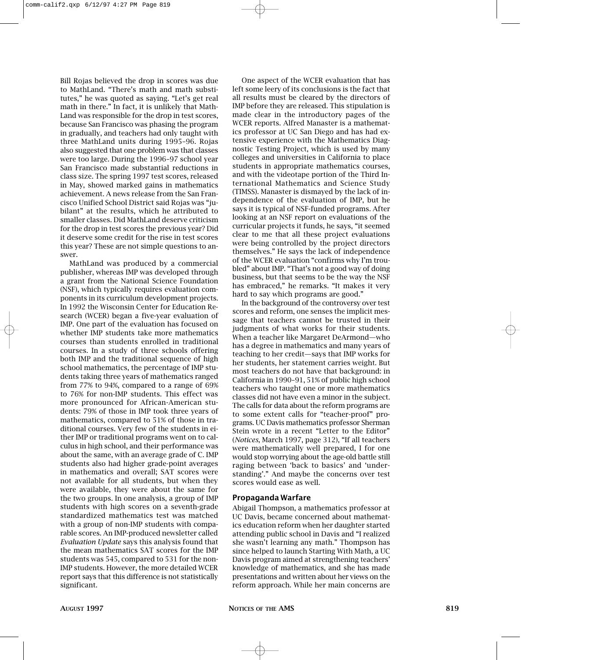Bill Rojas believed the drop in scores was due to MathLand. "There's math and math substitutes," he was quoted as saying. "Let's get real math in there." In fact, it is unlikely that Math-Land was responsible for the drop in test scores, because San Francisco was phasing the program in gradually, and teachers had only taught with three MathLand units during 1995–96. Rojas also suggested that one problem was that classes were too large. During the 1996–97 school year San Francisco made substantial reductions in class size. The spring 1997 test scores, released in May, showed marked gains in mathematics achievement. A news release from the San Francisco Unified School District said Rojas was "jubilant" at the results, which he attributed to smaller classes. Did MathLand deserve criticism for the drop in test scores the previous year? Did it deserve some credit for the rise in test scores this year? These are not simple questions to answer.

MathLand was produced by a commercial publisher, whereas IMP was developed through a grant from the National Science Foundation (NSF), which typically requires evaluation components in its curriculum development projects. In 1992 the Wisconsin Center for Education Research (WCER) began a five-year evaluation of IMP. One part of the evaluation has focused on whether IMP students take more mathematics courses than students enrolled in traditional courses. In a study of three schools offering both IMP and the traditional sequence of high school mathematics, the percentage of IMP students taking three years of mathematics ranged from 77% to 94%, compared to a range of 69% to 76% for non-IMP students. This effect was more pronounced for African-American students: 79% of those in IMP took three years of mathematics, compared to 51% of those in traditional courses. Very few of the students in either IMP or traditional programs went on to calculus in high school, and their performance was about the same, with an average grade of C. IMP students also had higher grade-point averages in mathematics and overall; SAT scores were not available for all students, but when they were available, they were about the same for the two groups. In one analysis, a group of IMP students with high scores on a seventh-grade standardized mathematics test was matched with a group of non-IMP students with comparable scores. An IMP-produced newsletter called *Evaluation Update* says this analysis found that the mean mathematics SAT scores for the IMP students was 545, compared to 531 for the non-IMP students. However, the more detailed WCER report says that this difference is not statistically significant.

One aspect of the WCER evaluation that has left some leery of its conclusions is the fact that all results must be cleared by the directors of IMP before they are released. This stipulation is made clear in the introductory pages of the WCER reports. Alfred Manaster is a mathematics professor at UC San Diego and has had extensive experience with the Mathematics Diagnostic Testing Project, which is used by many colleges and universities in California to place students in appropriate mathematics courses, and with the videotape portion of the Third International Mathematics and Science Study (TIMSS). Manaster is dismayed by the lack of independence of the evaluation of IMP, but he says it is typical of NSF-funded programs. After looking at an NSF report on evaluations of the curricular projects it funds, he says, "it seemed clear to me that all these project evaluations were being controlled by the project directors themselves." He says the lack of independence of the WCER evaluation "confirms why I'm troubled" about IMP. "That's not a good way of doing business, but that seems to be the way the NSF has embraced," he remarks. "It makes it very hard to say which programs are good."

In the background of the controversy over test scores and reform, one senses the implicit message that teachers cannot be trusted in their judgments of what works for their students. When a teacher like Margaret DeArmond—who has a degree in mathematics and many years of teaching to her credit—says that IMP works for her students, her statement carries weight. But most teachers do not have that background: in California in 1990–91, 51% of public high school teachers who taught one or more mathematics classes did not have even a minor in the subject. The calls for data about the reform programs are to some extent calls for "teacher-proof" programs. UC Davis mathematics professor Sherman Stein wrote in a recent "Letter to the Editor" (*Notices*, March 1997, page 312), "If all teachers were mathematically well prepared, I for one would stop worrying about the age-old battle still raging between 'back to basics' and 'understanding'." And maybe the concerns over test scores would ease as well.

## **Propaganda Warfare**

Abigail Thompson, a mathematics professor at UC Davis, became concerned about mathematics education reform when her daughter started attending public school in Davis and "I realized she wasn't learning any math." Thompson has since helped to launch Starting With Math, a UC Davis program aimed at strengthening teachers' knowledge of mathematics, and she has made presentations and written about her views on the reform approach. While her main concerns are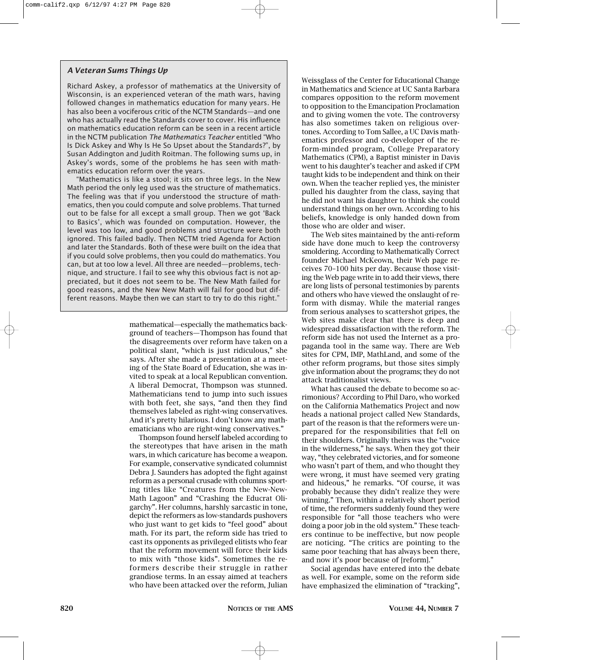# *A Veteran Sums Things Up*

Richard Askey, a professor of mathematics at the University of Wisconsin, is an experienced veteran of the math wars, having followed changes in mathematics education for many years. He has also been a vociferous critic of the NCTM Standards—and one who has actually read the Standards cover to cover. His influence on mathematics education reform can be seen in a recent article in the NCTM publication *The Mathematics Teacher* entitled "Who Is Dick Askey and Why Is He So Upset about the Standards?", by Susan Addington and Judith Roitman. The following sums up, in Askey's words, some of the problems he has seen with mathematics education reform over the years.

"Mathematics is like a stool; it sits on three legs. In the New Math period the only leg used was the structure of mathematics. The feeling was that if you understood the structure of mathematics, then you could compute and solve problems. That turned out to be false for all except a small group. Then we got 'Back to Basics', which was founded on computation. However, the level was too low, and good problems and structure were both ignored. This failed badly. Then NCTM tried Agenda for Action and later the Standards. Both of these were built on the idea that if you could solve problems, then you could do mathematics. You can, but at too low a level. All three are needed—problems, technique, and structure. I fail to see why this obvious fact is not appreciated, but it does not seem to be. The New Math failed for good reasons, and the New New Math will fail for good but different reasons. Maybe then we can start to try to do this right."

> mathematical—especially the mathematics background of teachers—Thompson has found that the disagreements over reform have taken on a political slant, "which is just ridiculous," she says. After she made a presentation at a meeting of the State Board of Education, she was invited to speak at a local Republican convention. A liberal Democrat, Thompson was stunned. Mathematicians tend to jump into such issues with both feet, she says, "and then they find themselves labeled as right-wing conservatives. And it's pretty hilarious. I don't know any mathematicians who are right-wing conservatives."

> Thompson found herself labeled according to the stereotypes that have arisen in the math wars, in which caricature has become a weapon. For example, conservative syndicated columnist Debra J. Saunders has adopted the fight against reform as a personal crusade with columns sporting titles like "Creatures from the New-New-Math Lagoon" and "Crashing the Educrat Oligarchy". Her columns, harshly sarcastic in tone, depict the reformers as low-standards pushovers who just want to get kids to "feel good" about math. For its part, the reform side has tried to cast its opponents as privileged elitists who fear that the reform movement will force their kids to mix with "those kids". Sometimes the reformers describe their struggle in rather grandiose terms. In an essay aimed at teachers who have been attacked over the reform, Julian

Weissglass of the Center for Educational Change in Mathematics and Science at UC Santa Barbara compares opposition to the reform movement to opposition to the Emancipation Proclamation and to giving women the vote. The controversy has also sometimes taken on religious overtones. According to Tom Sallee, a UC Davis mathematics professor and co-developer of the reform-minded program, College Preparatory Mathematics (CPM), a Baptist minister in Davis went to his daughter's teacher and asked if CPM taught kids to be independent and think on their own. When the teacher replied yes, the minister pulled his daughter from the class, saying that he did not want his daughter to think she could understand things on her own. According to his beliefs, knowledge is only handed down from those who are older and wiser.

The Web sites maintained by the anti-reform side have done much to keep the controversy smoldering. According to Mathematically Correct founder Michael McKeown, their Web page receives 70–100 hits per day. Because those visiting the Web page write in to add their views, there are long lists of personal testimonies by parents and others who have viewed the onslaught of reform with dismay. While the material ranges from serious analyses to scattershot gripes, the Web sites make clear that there is deep and widespread dissatisfaction with the reform. The reform side has not used the Internet as a propaganda tool in the same way. There are Web sites for CPM, IMP, MathLand, and some of the other reform programs, but those sites simply give information about the programs; they do not attack traditionalist views.

What has caused the debate to become so acrimonious? According to Phil Daro, who worked on the California Mathematics Project and now heads a national project called New Standards, part of the reason is that the reformers were unprepared for the responsibilities that fell on their shoulders. Originally theirs was the "voice in the wilderness," he says. When they got their way, "they celebrated victories, and for someone who wasn't part of them, and who thought they were wrong, it must have seemed very grating and hideous," he remarks. "Of course, it was probably because they didn't realize they were winning." Then, within a relatively short period of time, the reformers suddenly found they were responsible for "all those teachers who were doing a poor job in the old system." These teachers continue to be ineffective, but now people are noticing. "The critics are pointing to the same poor teaching that has always been there, and now it's poor because of [reform]."

Social agendas have entered into the debate as well. For example, some on the reform side have emphasized the elimination of "tracking",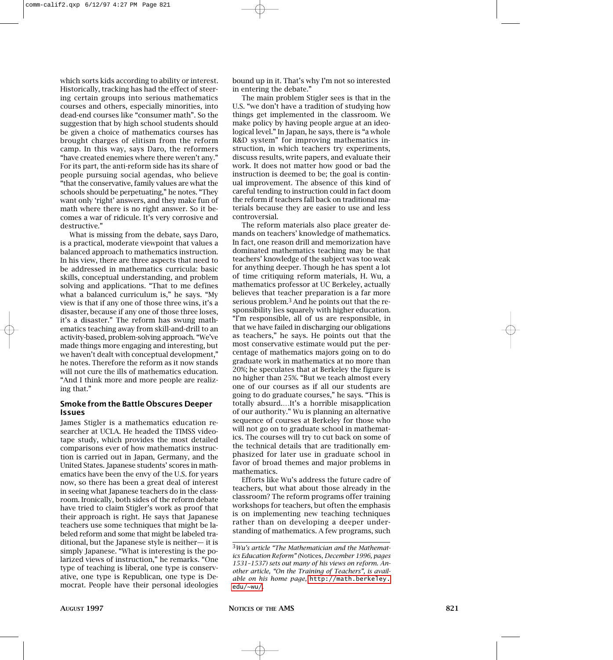which sorts kids according to ability or interest. Historically, tracking has had the effect of steering certain groups into serious mathematics courses and others, especially minorities, into dead-end courses like "consumer math". So the suggestion that by high school students should be given a choice of mathematics courses has brought charges of elitism from the reform camp. In this way, says Daro, the reformers "have created enemies where there weren't any." For its part, the anti-reform side has its share of people pursuing social agendas, who believe "that the conservative, family values are what the schools should be perpetuating," he notes. "They want only 'right' answers, and they make fun of math where there is no right answer. So it becomes a war of ridicule. It's very corrosive and destructive."

What is missing from the debate, says Daro, is a practical, moderate viewpoint that values a balanced approach to mathematics instruction. In his view, there are three aspects that need to be addressed in mathematics curricula: basic skills, conceptual understanding, and problem solving and applications. "That to me defines what a balanced curriculum is," he says. "My view is that if any one of those three wins, it's a disaster, because if any one of those three loses, it's a disaster." The reform has swung mathematics teaching away from skill-and-drill to an activity-based, problem-solving approach. "We've made things more engaging and interesting, but we haven't dealt with conceptual development," he notes. Therefore the reform as it now stands will not cure the ills of mathematics education. "And I think more and more people are realizing that."

## **Smoke from the Battle Obscures Deeper Issues**

James Stigler is a mathematics education researcher at UCLA. He headed the TIMSS videotape study, which provides the most detailed comparisons ever of how mathematics instruction is carried out in Japan, Germany, and the United States. Japanese students' scores in mathematics have been the envy of the U.S. for years now, so there has been a great deal of interest in seeing what Japanese teachers do in the classroom. Ironically, both sides of the reform debate have tried to claim Stigler's work as proof that their approach is right. He says that Japanese teachers use some techniques that might be labeled reform and some that might be labeled traditional, but the Japanese style is neither— it is simply Japanese. "What is interesting is the polarized views of instruction," he remarks. "One type of teaching is liberal, one type is conservative, one type is Republican, one type is Democrat. People have their personal ideologies bound up in it. That's why I'm not so interested in entering the debate."

The main problem Stigler sees is that in the U.S. "we don't have a tradition of studying how things get implemented in the classroom. We make policy by having people argue at an ideological level." In Japan, he says, there is "a whole R&D system" for improving mathematics instruction, in which teachers try experiments, discuss results, write papers, and evaluate their work. It does not matter how good or bad the instruction is deemed to be; the goal is continual improvement. The absence of this kind of careful tending to instruction could in fact doom the reform if teachers fall back on traditional materials because they are easier to use and less controversial.

The reform materials also place greater demands on teachers' knowledge of mathematics. In fact, one reason drill and memorization have dominated mathematics teaching may be that teachers' knowledge of the subject was too weak for anything deeper. Though he has spent a lot of time critiquing reform materials, H. Wu, a mathematics professor at UC Berkeley, actually believes that teacher preparation is a far more serious problem.3 And he points out that the responsibility lies squarely with higher education. "I'm responsible, all of us are responsible, in that we have failed in discharging our obligations as teachers," he says. He points out that the most conservative estimate would put the percentage of mathematics majors going on to do graduate work in mathematics at no more than 20%; he speculates that at Berkeley the figure is no higher than 25%. "But we teach almost every one of our courses as if all our students are going to do graduate courses," he says. "This is totally absurd.…It's a horrible misapplication of our authority." Wu is planning an alternative sequence of courses at Berkeley for those who will not go on to graduate school in mathematics. The courses will try to cut back on some of the technical details that are traditionally emphasized for later use in graduate school in favor of broad themes and major problems in mathematics.

Efforts like Wu's address the future cadre of teachers, but what about those already in the classroom? The reform programs offer training workshops for teachers, but often the emphasis is on implementing new teaching techniques rather than on developing a deeper understanding of mathematics. A few programs, such

<sup>3</sup>*Wu's article "The Mathematician and the Mathematics Education Reform" (*Notices*, December 1996, pages 1531–1537) sets out many of his views on reform. Another article, "On the Training of Teachers", is available on his home page,* [http://math.berkeley.](http://math.berkeley.edu/~wu/) [edu/~wu/](http://math.berkeley.edu/~wu/).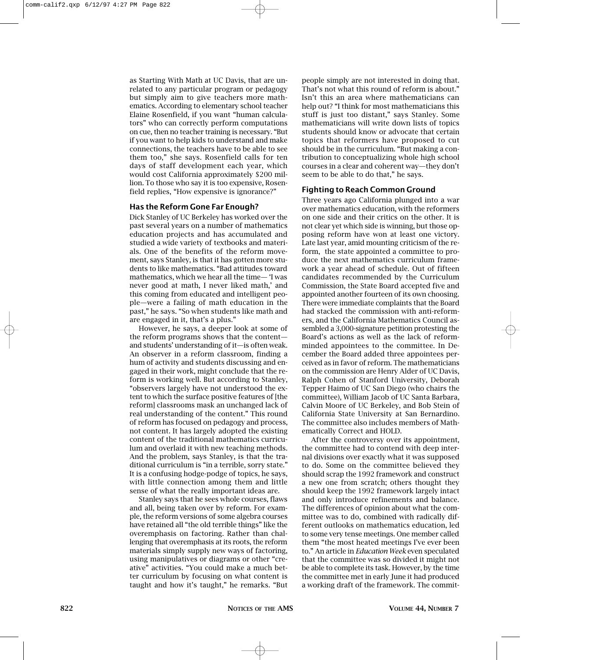as Starting With Math at UC Davis, that are unrelated to any particular program or pedagogy but simply aim to give teachers more mathematics. According to elementary school teacher Elaine Rosenfield, if you want "human calculators" who can correctly perform computations on cue, then no teacher training is necessary. "But if you want to help kids to understand and make connections, the teachers have to be able to see them too," she says. Rosenfield calls for ten days of staff development each year, which would cost California approximately \$200 million. To those who say it is too expensive, Rosenfield replies, "How expensive is ignorance?"

## **Has the Reform Gone Far Enough?**

Dick Stanley of UC Berkeley has worked over the past several years on a number of mathematics education projects and has accumulated and studied a wide variety of textbooks and materials. One of the benefits of the reform movement, says Stanley, is that it has gotten more students to like mathematics. "Bad attitudes toward mathematics, which we hear all the time— 'I was never good at math, I never liked math,' and this coming from educated and intelligent people—were a failing of math education in the past," he says. "So when students like math and are engaged in it, that's a plus."

However, he says, a deeper look at some of the reform programs shows that the content and students' understanding of it—is often weak. An observer in a reform classroom, finding a hum of activity and students discussing and engaged in their work, might conclude that the reform is working well. But according to Stanley, "observers largely have not understood the extent to which the surface positive features of [the reform] classrooms mask an unchanged lack of real understanding of the content." This round of reform has focused on pedagogy and process, not content. It has largely adopted the existing content of the traditional mathematics curriculum and overlaid it with new teaching methods. And the problem, says Stanley, is that the traditional curriculum is "in a terrible, sorry state." It is a confusing hodge-podge of topics, he says, with little connection among them and little sense of what the really important ideas are.

Stanley says that he sees whole courses, flaws and all, being taken over by reform. For example, the reform versions of some algebra courses have retained all "the old terrible things" like the overemphasis on factoring. Rather than challenging that overemphasis at its roots, the reform materials simply supply new ways of factoring, using manipulatives or diagrams or other "creative" activities. "You could make a much better curriculum by focusing on what content is taught and how it's taught," he remarks. "But people simply are not interested in doing that. That's not what this round of reform is about." Isn't this an area where mathematicians can help out? "I think for most mathematicians this stuff is just too distant," says Stanley. Some mathematicians will write down lists of topics students should know or advocate that certain topics that reformers have proposed to cut should be in the curriculum. "But making a contribution to conceptualizing whole high school courses in a clear and coherent way—they don't seem to be able to do that," he says.

#### **Fighting to Reach Common Ground**

Three years ago California plunged into a war over mathematics education, with the reformers on one side and their critics on the other. It is not clear yet which side is winning, but those opposing reform have won at least one victory. Late last year, amid mounting criticism of the reform, the state appointed a committee to produce the next mathematics curriculum framework a year ahead of schedule. Out of fifteen candidates recommended by the Curriculum Commission, the State Board accepted five and appointed another fourteen of its own choosing. There were immediate complaints that the Board had stacked the commission with anti-reformers, and the California Mathematics Council assembled a 3,000-signature petition protesting the Board's actions as well as the lack of reformminded appointees to the committee. In December the Board added three appointees perceived as in favor of reform. The mathematicians on the commission are Henry Alder of UC Davis, Ralph Cohen of Stanford University, Deborah Tepper Haimo of UC San Diego (who chairs the committee), William Jacob of UC Santa Barbara, Calvin Moore of UC Berkeley, and Bob Stein of California State University at San Bernardino. The committee also includes members of Mathematically Correct and HOLD.

After the controversy over its appointment, the committee had to contend with deep internal divisions over exactly what it was supposed to do. Some on the committee believed they should scrap the 1992 framework and construct a new one from scratch; others thought they should keep the 1992 framework largely intact and only introduce refinements and balance. The differences of opinion about what the committee was to do, combined with radically different outlooks on mathematics education, led to some very tense meetings. One member called them "the most heated meetings I've ever been to." An article in *Education Week* even speculated that the committee was so divided it might not be able to complete its task. However, by the time the committee met in early June it had produced a working draft of the framework. The commit-